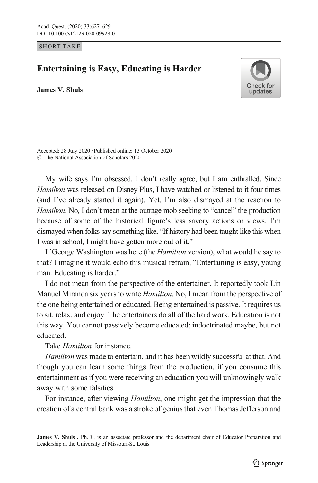SHORT TAKE

## Entertaining is Easy, Educating is Harder

James V. Shuls



Accepted: 28 July 2020 / /Published online: 13 October 2020 C The National Association of Scholars 2020

My wife says I'm obsessed. I don't really agree, but I am enthralled. Since Hamilton was released on Disney Plus, I have watched or listened to it four times (and I've already started it again). Yet, I'm also dismayed at the reaction to Hamilton. No, I don't mean at the outrage mob seeking to "cancel" the production because of some of the historical figure's less savory actions or views. I'm dismayed when folks say something like, "If history had been taught like this when I was in school, I might have gotten more out of it."

If George Washington was here (the *Hamilton* version), what would he say to that? I imagine it would echo this musical refrain, "Entertaining is easy, young man. Educating is harder."

I do not mean from the perspective of the entertainer. It reportedly took Lin Manuel Miranda six years to write *Hamilton*. No, I mean from the perspective of the one being entertained or educated. Being entertained is passive. It requires us to sit, relax, and enjoy. The entertainers do all of the hard work. Education is not this way. You cannot passively become educated; indoctrinated maybe, but not educated.

Take Hamilton for instance.

Hamilton was made to entertain, and it has been wildly successful at that. And though you can learn some things from the production, if you consume this entertainment as if you were receiving an education you will unknowingly walk away with some falsities.

For instance, after viewing Hamilton, one might get the impression that the creation of a central bank was a stroke of genius that even Thomas Jefferson and

James V. Shuls , Ph.D., is an associate professor and the department chair of Educator Preparation and Leadership at the University of Missouri-St. Louis.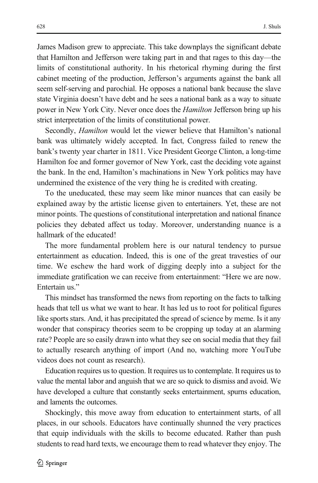James Madison grew to appreciate. This take downplays the significant debate that Hamilton and Jefferson were taking part in and that rages to this day—the limits of constitutional authority. In his rhetorical rhyming during the first cabinet meeting of the production, Jefferson's arguments against the bank all seem self-serving and parochial. He opposes a national bank because the slave state Virginia doesn't have debt and he sees a national bank as a way to situate power in New York City. Never once does the *Hamilton* Jefferson bring up his strict interpretation of the limits of constitutional power.

Secondly, Hamilton would let the viewer believe that Hamilton's national bank was ultimately widely accepted. In fact, Congress failed to renew the bank's twenty year charter in 1811. Vice President George Clinton, a long-time Hamilton foe and former governor of New York, cast the deciding vote against the bank. In the end, Hamilton's machinations in New York politics may have undermined the existence of the very thing he is credited with creating.

To the uneducated, these may seem like minor nuances that can easily be explained away by the artistic license given to entertainers. Yet, these are not minor points. The questions of constitutional interpretation and national finance policies they debated affect us today. Moreover, understanding nuance is a hallmark of the educated!

The more fundamental problem here is our natural tendency to pursue entertainment as education. Indeed, this is one of the great travesties of our time. We eschew the hard work of digging deeply into a subject for the immediate gratification we can receive from entertainment: "Here we are now. Entertain us"

This mindset has transformed the news from reporting on the facts to talking heads that tell us what we want to hear. It has led us to root for political figures like sports stars. And, it has precipitated the spread of science by meme. Is it any wonder that conspiracy theories seem to be cropping up today at an alarming rate? People are so easily drawn into what they see on social media that they fail to actually research anything of import (And no, watching more YouTube videos does not count as research).

Education requires us to question. It requires us to contemplate. It requires us to value the mental labor and anguish that we are so quick to dismiss and avoid. We have developed a culture that constantly seeks entertainment, spurns education, and laments the outcomes.

Shockingly, this move away from education to entertainment starts, of all places, in our schools. Educators have continually shunned the very practices that equip individuals with the skills to become educated. Rather than push students to read hard texts, we encourage them to read whatever they enjoy. The